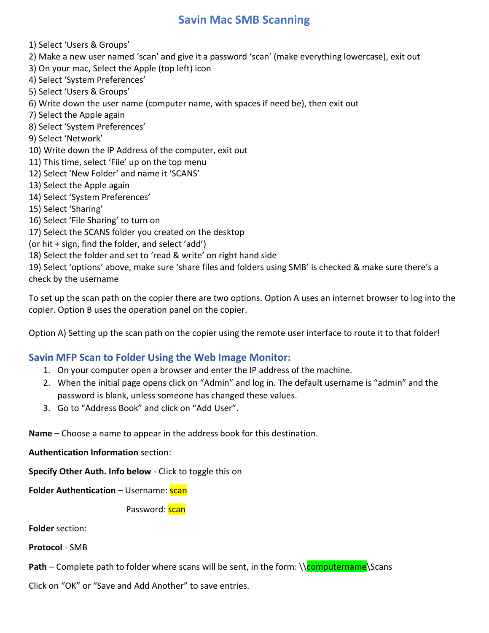## Savin Mac SMB Scanning

1) Select 'Users & Groups'

- 2) Make a new user named 'scan' and give it a password 'scan' (make everything lowercase), exit out
- 3) On your mac, Select the Apple (top left) icon
- 4) Select 'System Preferences'
- 5) Select 'Users & Groups'
- 6) Write down the user name (computer name, with spaces if need be), then exit out
- 7) Select the Apple again
- 8) Select 'System Preferences'
- 9) Select 'Network'
- 10) Write down the IP Address of the computer, exit out
- 11) This time, select 'File' up on the top menu
- 12) Select 'New Folder' and name it 'SCANS'
- 13) Select the Apple again
- 14) Select 'System Preferences'
- 15) Select 'Sharing'
- 16) Select 'File Sharing' to turn on
- 17) Select the SCANS folder you created on the desktop
- (or hit + sign, find the folder, and select 'add')
- 18) Select the folder and set to 'read & write' on right hand side

19) Select 'options' above, make sure 'share files and folders using SMB' is checked & make sure there's a check by the username

To set up the scan path on the copier there are two options. Option A uses an internet browser to log into the copier. Option B uses the operation panel on the copier.

Option A) Setting up the scan path on the copier using the remote user interface to route it to that folder!

## Savin MFP Scan to Folder Using the Web Image Monitor:

- 1. On your computer open a browser and enter the IP address of the machine.
- 2. When the initial page opens click on "Admin" and log in. The default username is "admin" and the password is blank, unless someone has changed these values.
- 3. Go to "Address Book" and click on "Add User".

Name – Choose a name to appear in the address book for this destination.

Authentication Information section:

Specify Other Auth. Info below - Click to toggle this on

Folder Authentication – Username: scan

Password: scan

Folder section:

Protocol - SMB

Path – Complete path to folder where scans will be sent, in the form:  $\csc \frac{1}{\text{compute}}$ Scans

Click on "OK" or "Save and Add Another" to save entries.